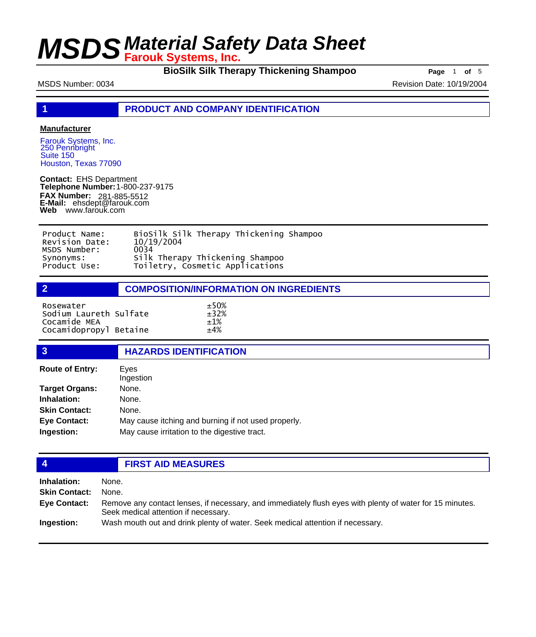**BioSilk Silk Therapy Thickening Shampoo Page** 1 of 5

MSDS Number: 0034 **Revision Date: 10/19/2004** Revision Date: 10/19/2004

**1 PRODUCT AND COMPANY IDENTIFICATION**

### **Manufacturer**

Farouk Systems, Inc. 250 Pennbright Suite 150 Houston, Texas 77090

**Contact:** EHS Department **Telephone Number:** 1-800-237-9175 **FAX Number: FAX Number:** 281-885-5512<br>**E-Mail:** ehsdept@farouk.com **Web** www.farouk.com

| Product Name:  | BioSilk Silk Therapy Thickening Shampoo |
|----------------|-----------------------------------------|
| Revision Date: | 10/19/2004                              |
| MSDS Number:   | 0034                                    |
| Synonyms:      | Silk Therapy Thickening Shampoo         |
| Product Use:   | Toiletry, Cosmetic Applications         |

**2 COMPOSITION/INFORMATION ON INGREDIENTS**

| Rosewater<br>Sodium Laureth Sulfate | $+50%$<br>$+32%$ |
|-------------------------------------|------------------|
|                                     |                  |
| Cocamide MEA                        | $+1%$            |
| Cocamidopropyl Betaine              | $+4%$            |

### **3 HAZARDS IDENTIFICATION**

| <b>Route of Entry:</b> | Eyes<br>Ingestion                                   |
|------------------------|-----------------------------------------------------|
| <b>Target Organs:</b>  | None.                                               |
| Inhalation:            | None.                                               |
| <b>Skin Contact:</b>   | None.                                               |
| <b>Eye Contact:</b>    | May cause itching and burning if not used properly. |
| Ingestion:             | May cause irritation to the digestive tract.        |
|                        |                                                     |

## **4 FIRST AID MEASURES**

| <b>Inhalation:</b>   | None.                                                                                                                                            |
|----------------------|--------------------------------------------------------------------------------------------------------------------------------------------------|
| <b>Skin Contact:</b> | None.                                                                                                                                            |
| Eye Contact:         | Remove any contact lenses, if necessary, and immediately flush eyes with plenty of water for 15 minutes.<br>Seek medical attention if necessary. |
| Ingestion:           | Wash mouth out and drink plenty of water. Seek medical attention if necessary.                                                                   |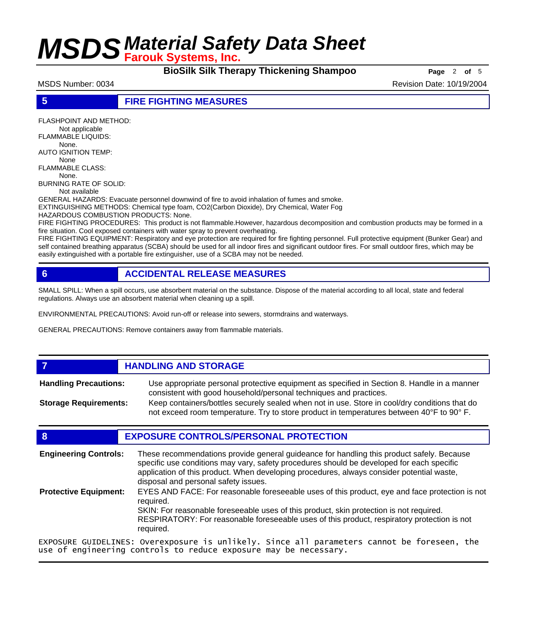**BioSilk Silk Therapy Thickening Shampoo Page** 2 of 5

MSDS Number: 0034 Revision Date: 10/19/2004

**5 FIRE FIGHTING MEASURES**

FLASHPOINT AND METHOD: Not applicable FLAMMABLE LIQUIDS: None. AUTO IGNITION TEMP: None FLAMMABLE CLASS: None. BURNING RATE OF SOLID: Not available GENERAL HAZARDS: Evacuate personnel downwind of fire to avoid inhalation of fumes and smoke. EXTINGUISHING METHODS: Chemical type foam, CO2(Carbon Dioxide), Dry Chemical, Water Fog HAZARDOUS COMBUSTION PRODUCTS: None. FIRE FIGHTING PROCEDURES: This product is not flammable.However, hazardous decomposition and combustion products may be formed in a fire situation. Cool exposed containers with water spray to prevent overheating. FIRE FIGHTING EQUIPMENT: Respiratory and eye protection are required for fire fighting personnel. Full protective equipment (Bunker Gear) and

self contained breathing apparatus (SCBA) should be used for all indoor fires and significant outdoor fires. For small outdoor fires, which may be easily extinguished with a portable fire extinguisher, use of a SCBA may not be needed.

## **6 ACCIDENTAL RELEASE MEASURES**

SMALL SPILL: When a spill occurs, use absorbent material on the substance. Dispose of the material according to all local, state and federal regulations. Always use an absorbent material when cleaning up a spill.

ENVIRONMENTAL PRECAUTIONS: Avoid run-off or release into sewers, stormdrains and waterways.

GENERAL PRECAUTIONS: Remove containers away from flammable materials.

## *HANDLING AND STORAGE*

Use appropriate personal protective equipment as specified in Section 8. Handle in a manner consistent with good household/personal techniques and practices. **Handling Precautions:** Keep containers/bottles securely sealed when not in use. Store in cool/dry conditions that do **Storage Requirements:**

## not exceed room temperature. Try to store product in temperatures between 40°F to 90° F.

## **8 EXPOSURE CONTROLS/PERSONAL PROTECTION**

| <b>Engineering Controls:</b> | These recommendations provide general guideance for handling this product safely. Because<br>specific use conditions may vary, safety procedures should be developed for each specific<br>application of this product. When developing procedures, always consider potential waste,<br>disposal and personal safety issues. |
|------------------------------|-----------------------------------------------------------------------------------------------------------------------------------------------------------------------------------------------------------------------------------------------------------------------------------------------------------------------------|
| <b>Protective Equipment:</b> | EYES AND FACE: For reasonable foreseeable uses of this product, eye and face protection is not<br>reauired.<br>SKIN: For reasonable foreseeable uses of this product, skin protection is not required.<br>RESPIRATORY: For reasonable foreseeable uses of this product, respiratory protection is not<br>required.          |
|                              | EXPOSURE GUIDELINES: Overexposure is unlikely. Since all parameters cannot be foreseen, the                                                                                                                                                                                                                                 |

EXPOSURE GUIDELINES: Overexposure is unlikely. Since all parameters cannot be foreseen, the use of engineering controls to reduce exposure may be necessary.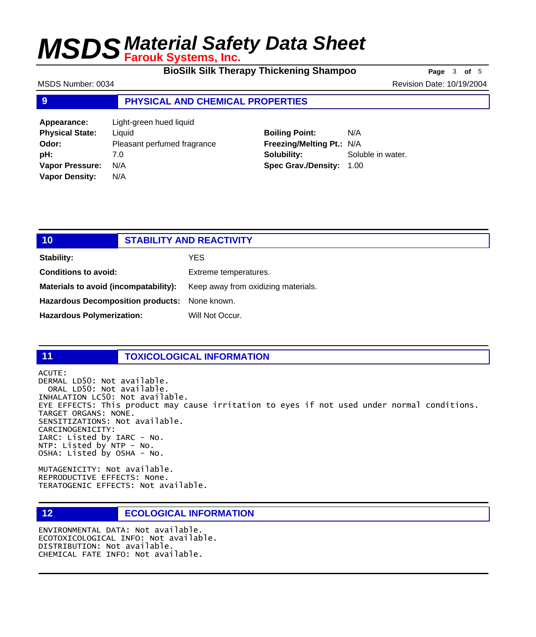**BioSilk Silk Therapy Thickening Shampoo Page** 3 of 5

MSDS Number: 0034 Revision Date: 10/19/2004

### **9 PHYSICAL AND CHEMICAL PROPERTIES**

**Appearance:** Light-green hued liquid **Physical State:** Liquid **Odor:** Pleasant perfumed fragrance **pH:** 7.0 **Vapor Pressure:** N/A **Vapor Density:** N/A

## **Boiling Point:** N/A **Freezing/Melting Pt.:** N/A **Solubility:** Soluble in water. **Spec Grav./Density:** 1.00

| 10                                            | <b>STABILITY AND REACTIVITY</b> |                                     |
|-----------------------------------------------|---------------------------------|-------------------------------------|
| Stability:                                    |                                 | YES                                 |
| <b>Conditions to avoid:</b>                   |                                 | Extreme temperatures.               |
| Materials to avoid (incompatability):         |                                 | Keep away from oxidizing materials. |
| Hazardous Decomposition products: None known. |                                 |                                     |
| <b>Hazardous Polymerization:</b>              |                                 | Will Not Occur.                     |

## **11 TOXICOLOGICAL INFORMATION**

ACUTE: DERMAL LD50: Not available. ORAL LD50: Not available. INHALATION LC50: Not available. EYE EFFECTS: This product may cause irritation to eyes if not used under normal conditions. TARGET ORGANS: NONE. SENSITIZATIONS: Not available. CARCINOGENICITY: IARC: Listed by IARC - No. NTP: Listed by NTP - No. OSHA: Listed by OSHA - No.

MUTAGENICITY: Not available. REPRODUCTIVE EFFECTS: None. TERATOGENIC EFFECTS: Not available.

## **12 ECOLOGICAL INFORMATION**

ENVIRONMENTAL DATA: Not available. ECOTOXICOLOGICAL INFO: Not available. DISTRIBUTION: Not available. CHEMICAL FATE INFO: Not available.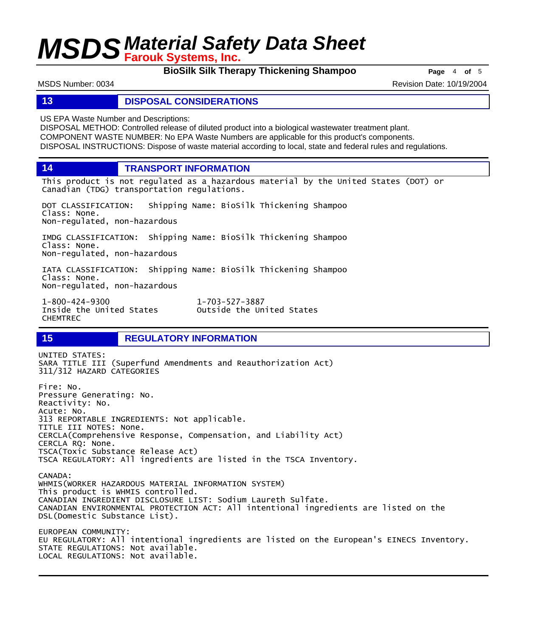**BioSilk Silk Therapy Thickening Shampoo Page** 4 of 5

MSDS Number: 0034 Revision Date: 10/19/2004

### **13 DISPOSAL CONSIDERATIONS**

US EPA Waste Number and Descriptions:

DISPOSAL METHOD: Controlled release of diluted product into a biological wastewater treatment plant. COMPONENT WASTE NUMBER: No EPA Waste Numbers are applicable for this product's components. DISPOSAL INSTRUCTIONS: Dispose of waste material according to local, state and federal rules and regulations.

**14 TRANSPORT INFORMATION**

This product is not regulated as a hazardous material by the United States (DOT) or Canadian (TDG) transportation regulations.

DOT CLASSIFICATION: Shipping Name: BioSilk Thickening Shampoo Class: None. Non-regulated, non-hazardous

IMDG CLASSIFICATION: Shipping Name: BioSilk Thickening Shampoo Class: None. Non-regulated, non-hazardous

IATA CLASSIFICATION: Shipping Name: BioSilk Thickening Shampoo Class: None. Non-regulated, non-hazardous

1-800-424-9300 1-703-527-3887 CHEMTREC

Outside the United States

## **15 REGULATORY INFORMATION**

UNITED STATES: SARA TITLE III (Superfund Amendments and Reauthorization Act) 311/312 HAZARD CATEGORIES Fire: No. Pressure Generating: No. Reactivity: No. Acute: No. 313 REPORTABLE INGREDIENTS: Not applicable. TITLE III NOTES: None. CERCLA(Comprehensive Response, Compensation, and Liability Act) CERCLA RQ: None. TSCA(Toxic Substance Release Act) TSCA REGULATORY: All ingredients are listed in the TSCA Inventory. CANADA: WHMIS(WORKER HAZARDOUS MATERIAL INFORMATION SYSTEM) This product is WHMIS controlled. CANADIAN INGREDIENT DISCLOSURE LIST: Sodium Laureth Sulfate. CANADIAN ENVIRONMENTAL PROTECTION ACT: All intentional ingredients are listed on the DSL(Domestic Substance List). EUROPEAN COMMUNITY: EU REGULATORY: All intentional ingredients are listed on the European's EINECS Inventory. STATE REGULATIONS: Not available. LOCAL REGULATIONS: Not available.